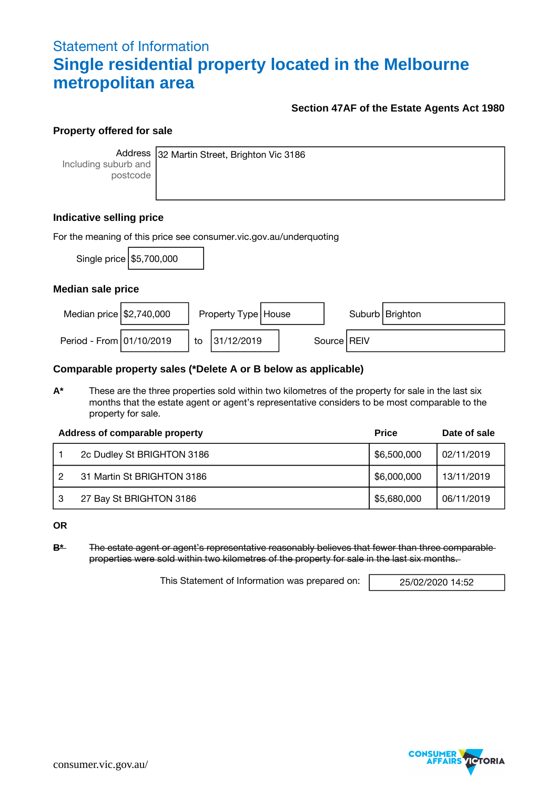## Statement of Information **Single residential property located in the Melbourne metropolitan area**

#### **Section 47AF of the Estate Agents Act 1980**

#### **Property offered for sale**

Including suburb and postcode

Address 32 Martin Street, Brighton Vic 3186

### **Indicative selling price**

| For the meaning of this price see consumer.vic.gov.au/underquoting |                            |    |                       |  |  |               |                   |  |  |
|--------------------------------------------------------------------|----------------------------|----|-----------------------|--|--|---------------|-------------------|--|--|
|                                                                    | Single price   \$5,700,000 |    |                       |  |  |               |                   |  |  |
| <b>Median sale price</b>                                           |                            |    |                       |  |  |               |                   |  |  |
| Median price $$2,740,000$                                          |                            |    | Property Type   House |  |  |               | Suburb   Brighton |  |  |
| Period - From 01/10/2019                                           |                            | to | 31/12/2019            |  |  | Source   REIV |                   |  |  |

### **Comparable property sales (\*Delete A or B below as applicable)**

**A\*** These are the three properties sold within two kilometres of the property for sale in the last six months that the estate agent or agent's representative considers to be most comparable to the property for sale.

|    | Address of comparable property | <b>Price</b> | Date of sale |
|----|--------------------------------|--------------|--------------|
|    | 2c Dudley St BRIGHTON 3186     | \$6,500,000  | 02/11/2019   |
| 2  | 31 Martin St BRIGHTON 3186     | \$6,000,000  | 13/11/2019   |
| -3 | 27 Bay St BRIGHTON 3186        | \$5,680,000  | 06/11/2019   |

**OR**

**B\*** The estate agent or agent's representative reasonably believes that fewer than three comparable properties were sold within two kilometres of the property for sale in the last six months.

This Statement of Information was prepared on: 25/02/2020 14:52